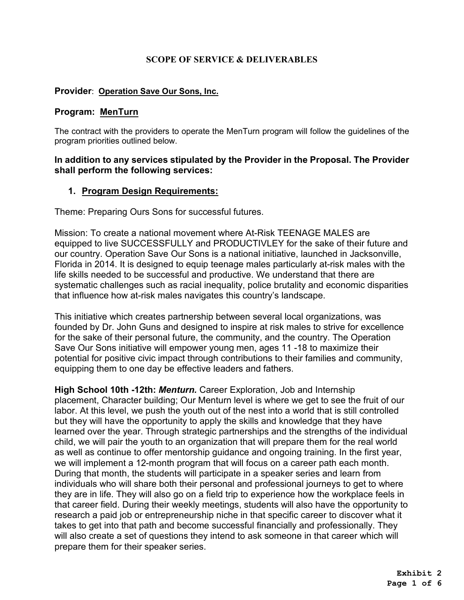### **SCOPE OF SERVICE & DELIVERABLES**

### **Provider**: **Operation Save Our Sons, Inc.**

### **Program: MenTurn**

The contract with the providers to operate the MenTurn program will follow the guidelines of the program priorities outlined below.

### **In addition to any services stipulated by the Provider in the Proposal. The Provider shall perform the following services:**

### **1. Program Design Requirements:**

Theme: Preparing Ours Sons for successful futures.

Mission: To create a national movement where At-Risk TEENAGE MALES are equipped to live SUCCESSFULLY and PRODUCTIVLEY for the sake of their future and our country. Operation Save Our Sons is a national initiative, launched in Jacksonville, Florida in 2014. It is designed to equip teenage males particularly at-risk males with the life skills needed to be successful and productive. We understand that there are systematic challenges such as racial inequality, police brutality and economic disparities that influence how at-risk males navigates this country's landscape.

This initiative which creates partnership between several local organizations, was founded by Dr. John Guns and designed to inspire at risk males to strive for excellence for the sake of their personal future, the community, and the country. The Operation Save Our Sons initiative will empower young men, ages 11 -18 to maximize their potential for positive civic impact through contributions to their families and community, equipping them to one day be effective leaders and fathers.

**High School 10th -12th:** *Menturn.* Career Exploration, Job and Internship placement, Character building; Our Menturn level is where we get to see the fruit of our labor. At this level, we push the youth out of the nest into a world that is still controlled but they will have the opportunity to apply the skills and knowledge that they have learned over the year. Through strategic partnerships and the strengths of the individual child, we will pair the youth to an organization that will prepare them for the real world as well as continue to offer mentorship guidance and ongoing training. In the first year, we will implement a 12-month program that will focus on a career path each month. During that month, the students will participate in a speaker series and learn from individuals who will share both their personal and professional journeys to get to where they are in life. They will also go on a field trip to experience how the workplace feels in that career field. During their weekly meetings, students will also have the opportunity to research a paid job or entrepreneurship niche in that specific career to discover what it takes to get into that path and become successful financially and professionally. They will also create a set of questions they intend to ask someone in that career which will prepare them for their speaker series.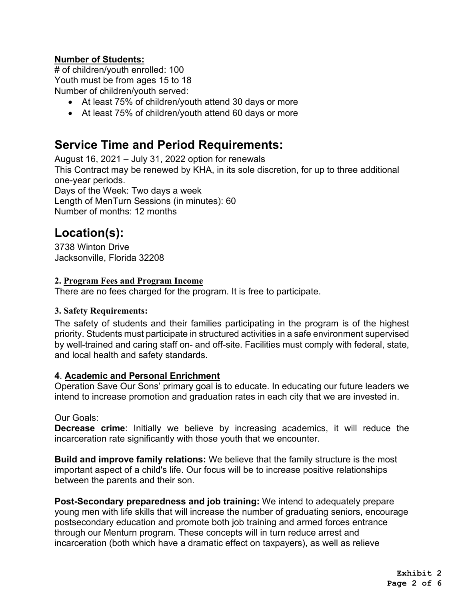## **Number of Students:**

# of children/youth enrolled: 100 Youth must be from ages 15 to 18 Number of children/youth served:

- At least 75% of children/youth attend 30 days or more
- At least 75% of children/youth attend 60 days or more

# **Service Time and Period Requirements:**

August 16, 2021 – July 31, 2022 option for renewals

This Contract may be renewed by KHA, in its sole discretion, for up to three additional one-year periods.

Days of the Week: Two days a week Length of MenTurn Sessions (in minutes): 60 Number of months: 12 months

# **Location(s):**

3738 Winton Drive Jacksonville, Florida 32208

### **2. Program Fees and Program Income**

There are no fees charged for the program. It is free to participate.

### **3. Safety Requirements:**

The safety of students and their families participating in the program is of the highest priority. Students must participate in structured activities in a safe environment supervised by well-trained and caring staff on- and off-site. Facilities must comply with federal, state, and local health and safety standards.

### **4**. **Academic and Personal Enrichment**

Operation Save Our Sons' primary goal is to educate. In educating our future leaders we intend to increase promotion and graduation rates in each city that we are invested in.

### Our Goals:

**Decrease crime**: Initially we believe by increasing academics, it will reduce the incarceration rate significantly with those youth that we encounter.

**Build and improve family relations:** We believe that the family structure is the most important aspect of a child's life. Our focus will be to increase positive relationships between the parents and their son.

**Post-Secondary preparedness and job training:** We intend to adequately prepare young men with life skills that will increase the number of graduating seniors, encourage postsecondary education and promote both job training and armed forces entrance through our Menturn program. These concepts will in turn reduce arrest and incarceration (both which have a dramatic effect on taxpayers), as well as relieve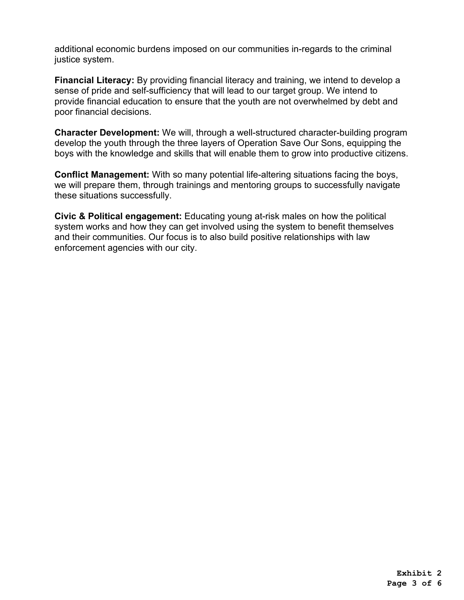additional economic burdens imposed on our communities in-regards to the criminal justice system.

**Financial Literacy:** By providing financial literacy and training, we intend to develop a sense of pride and self-sufficiency that will lead to our target group. We intend to provide financial education to ensure that the youth are not overwhelmed by debt and poor financial decisions.

**Character Development:** We will, through a well-structured character-building program develop the youth through the three layers of Operation Save Our Sons, equipping the boys with the knowledge and skills that will enable them to grow into productive citizens.

**Conflict Management:** With so many potential life-altering situations facing the boys, we will prepare them, through trainings and mentoring groups to successfully navigate these situations successfully.

**Civic & Political engagement:** Educating young at-risk males on how the political system works and how they can get involved using the system to benefit themselves and their communities. Our focus is to also build positive relationships with law enforcement agencies with our city.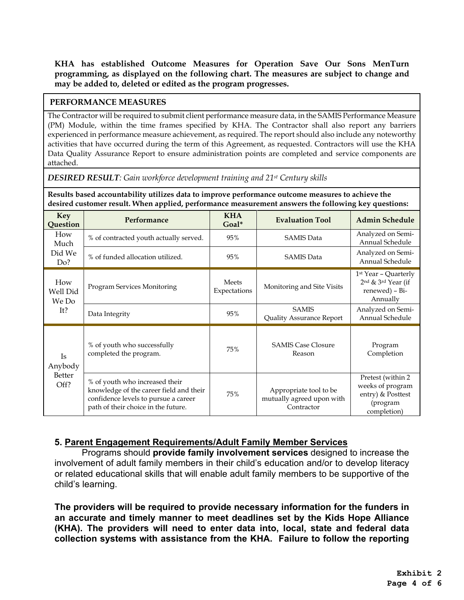**KHA has established Outcome Measures for Operation Save Our Sons MenTurn programming, as displayed on the following chart. The measures are subject to change and may be added to, deleted or edited as the program progresses.**

#### **PERFORMANCE MEASURES**

The Contractor will be required to submit client performance measure data, in the SAMIS Performance Measure (PM) Module, within the time frames specified by KHA. The Contractor shall also report any barriers experienced in performance measure achievement, as required. The report should also include any noteworthy activities that have occurred during the term of this Agreement, as requested. Contractors will use the KHA Data Quality Assurance Report to ensure administration points are completed and service components are attached.

*DESIRED RESULT: Gain workforce development training and 21st Century skills*

**Results based accountability utilizes data to improve performance outcome measures to achieve the desired customer result. When applied, performance measurement answers the following key questions:**

| <b>Key</b><br>Question                        | Performance                                                                                                                                              | <b>KHA</b><br>Goal*          | <b>Evaluation Tool</b>                                            | <b>Admin Schedule</b>                                                                 |  |
|-----------------------------------------------|----------------------------------------------------------------------------------------------------------------------------------------------------------|------------------------------|-------------------------------------------------------------------|---------------------------------------------------------------------------------------|--|
| How<br>Much<br>Did We<br>Do?                  | % of contracted youth actually served.                                                                                                                   | 95%                          | <b>SAMIS Data</b>                                                 | Analyzed on Semi-<br>Annual Schedule                                                  |  |
|                                               | % of funded allocation utilized.                                                                                                                         | 95%                          | <b>SAMIS Data</b>                                                 | Analyzed on Semi-<br>Annual Schedule                                                  |  |
| How<br>Well Did<br>We Do<br>It?               | Program Services Monitoring                                                                                                                              | <b>Meets</b><br>Expectations | Monitoring and Site Visits                                        | 1 <sup>st</sup> Year - Quarterly<br>2nd & 3rd Year (if<br>renewed) - Bi-<br>Annually  |  |
|                                               | Data Integrity                                                                                                                                           | 95%                          | <b>SAMIS</b><br><b>Quality Assurance Report</b>                   | Analyzed on Semi-<br>Annual Schedule                                                  |  |
| <b>Is</b><br>Anybody<br><b>Better</b><br>Off? | % of youth who successfully<br>completed the program.                                                                                                    | 75%                          | <b>SAMIS Case Closure</b><br>Reason                               | Program<br>Completion                                                                 |  |
|                                               | % of youth who increased their<br>knowledge of the career field and their<br>confidence levels to pursue a career<br>path of their choice in the future. | 75%                          | Appropriate tool to be<br>mutually agreed upon with<br>Contractor | Pretest (within 2<br>weeks of program<br>entry) & Posttest<br>(program<br>completion) |  |

### **5. Parent Engagement Requirements/Adult Family Member Services**

Programs should **provide family involvement services** designed to increase the involvement of adult family members in their child's education and/or to develop literacy or related educational skills that will enable adult family members to be supportive of the child's learning.

**The providers will be required to provide necessary information for the funders in an accurate and timely manner to meet deadlines set by the Kids Hope Alliance (KHA). The providers will need to enter data into, local, state and federal data collection systems with assistance from the KHA. Failure to follow the reporting**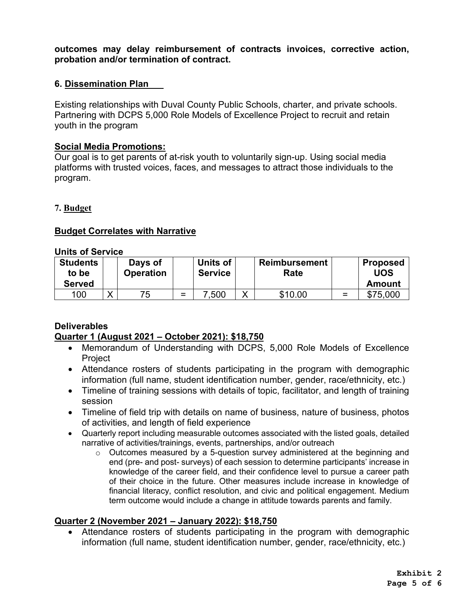**outcomes may delay reimbursement of contracts invoices, corrective action, probation and/or termination of contract.** 

### **6. Dissemination Plan**

Existing relationships with Duval County Public Schools, charter, and private schools. Partnering with DCPS 5,000 Role Models of Excellence Project to recruit and retain youth in the program

### **Social Media Promotions:**

Our goal is to get parents of at-risk youth to voluntarily sign-up. Using social media platforms with trusted voices, faces, and messages to attract those individuals to the program.

### **7. Budget**

### **Budget Correlates with Narrative**

### **Units of Service**

| <b>Students</b><br>to be | Days of<br><b>Operation</b> |     | Units of<br><b>Service</b> |   | <b>Reimbursement</b><br>Rate |     | <b>Proposed</b><br>UOS |
|--------------------------|-----------------------------|-----|----------------------------|---|------------------------------|-----|------------------------|
| <b>Served</b>            |                             |     |                            |   |                              |     | Amount                 |
| 100                      | 75                          | $=$ | .500                       | v | \$10.00                      | $=$ | \$75,000               |

### **Deliverables Quarter 1 (August 2021 – October 2021): \$18,750**

- Memorandum of Understanding with DCPS, 5,000 Role Models of Excellence Project
- Attendance rosters of students participating in the program with demographic information (full name, student identification number, gender, race/ethnicity, etc.)
- Timeline of training sessions with details of topic, facilitator, and length of training session
- Timeline of field trip with details on name of business, nature of business, photos of activities, and length of field experience
- Quarterly report including measurable outcomes associated with the listed goals, detailed narrative of activities/trainings, events, partnerships, and/or outreach
	- o Outcomes measured by a 5-question survey administered at the beginning and end (pre- and post- surveys) of each session to determine participants' increase in knowledge of the career field, and their confidence level to pursue a career path of their choice in the future. Other measures include increase in knowledge of financial literacy, conflict resolution, and civic and political engagement. Medium term outcome would include a change in attitude towards parents and family.

### **Quarter 2 (November 2021 – January 2022): \$18,750**

• Attendance rosters of students participating in the program with demographic information (full name, student identification number, gender, race/ethnicity, etc.)